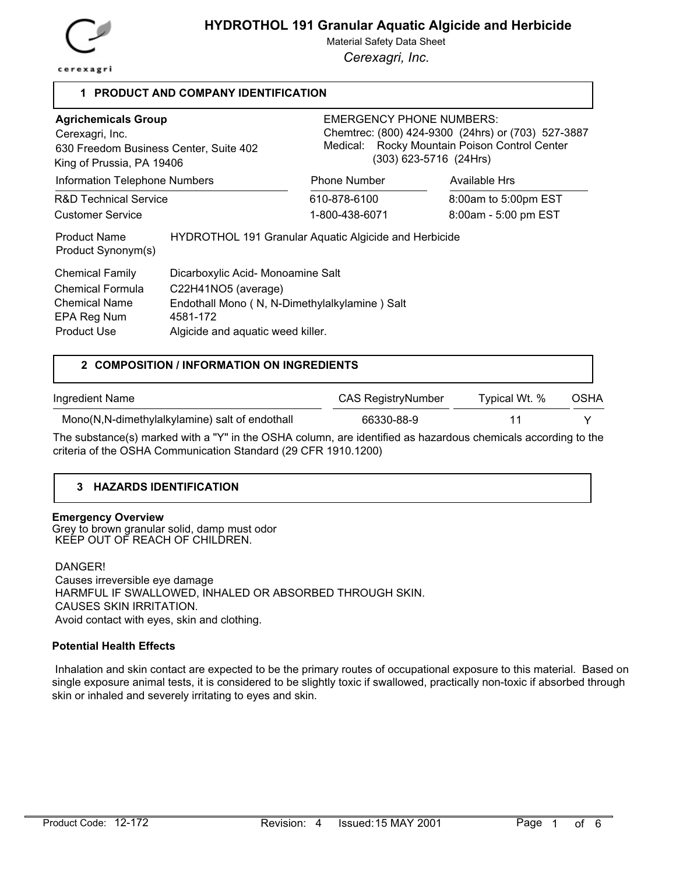

# **HYDROTHOL 191 Granular Aquatic Algicide and Herbicide**

Material Safety Data Sheet

*Cerexagri, Inc.*

### **1 PRODUCT AND COMPANY IDENTIFICATION**

| <b>Agrichemicals Group</b><br>Cerexagri, Inc.<br>630 Freedom Business Center, Suite 402<br>King of Prussia, PA 19406 |                                                                                                                                                            | <b>EMERGENCY PHONE NUMBERS:</b><br>$(303)$ 623-5716 $(24Hrs)$ | Chemtrec: (800) 424-9300 (24hrs) or (703) 527-3887<br>Medical: Rocky Mountain Poison Control Center |  |
|----------------------------------------------------------------------------------------------------------------------|------------------------------------------------------------------------------------------------------------------------------------------------------------|---------------------------------------------------------------|-----------------------------------------------------------------------------------------------------|--|
| Information Telephone Numbers                                                                                        |                                                                                                                                                            | <b>Phone Number</b>                                           | Available Hrs                                                                                       |  |
| <b>R&amp;D Technical Service</b>                                                                                     |                                                                                                                                                            | 610-878-6100                                                  | 8:00am to 5:00pm EST                                                                                |  |
| <b>Customer Service</b>                                                                                              |                                                                                                                                                            | 1-800-438-6071                                                | 8:00am - 5:00 pm EST                                                                                |  |
| <b>Product Name</b><br>Product Synonym(s)                                                                            |                                                                                                                                                            | HYDROTHOL 191 Granular Aquatic Algicide and Herbicide         |                                                                                                     |  |
| <b>Chemical Family</b><br>Chemical Formula<br><b>Chemical Name</b><br>EPA Reg Num<br><b>Product Use</b>              | Dicarboxylic Acid- Monoamine Salt<br>C22H41NO5 (average)<br>Endothall Mono (N, N-Dimethylalkylamine) Salt<br>4581-172<br>Algicide and aquatic weed killer. |                                                               |                                                                                                     |  |

#### **2 COMPOSITION / INFORMATION ON INGREDIENTS**

| Ingredient Name                                                                                               | CAS RegistryNumber | Typical Wt. % | <b>OSHA</b> |
|---------------------------------------------------------------------------------------------------------------|--------------------|---------------|-------------|
| Mono(N,N-dimethylalkylamine) salt of endothall                                                                | 66330-88-9         |               |             |
| The substance(s) marked with a "Y" in the OSHA column, are identified as hazardous chemicals according to the |                    |               |             |

 $\epsilon$ (s) marked with a "Y" in the OSHA column, are identified as hazardous chemicals accordin criteria of the OSHA Communication Standard (29 CFR 1910.1200)

#### **3 HAZARDS IDENTIFICATION**

#### **Emergency Overview**

Grey to brown granular solid, damp must odor KEEP OUT OF REACH OF CHILDREN.

DANGER!

 Causes irreversible eye damage HARMFUL IF SWALLOWED, INHALED OR ABSORBED THROUGH SKIN. CAUSES SKIN IRRITATION. Avoid contact with eyes, skin and clothing.

#### **Potential Health Effects**

 Inhalation and skin contact are expected to be the primary routes of occupational exposure to this material. Based on single exposure animal tests, it is considered to be slightly toxic if swallowed, practically non-toxic if absorbed through skin or inhaled and severely irritating to eyes and skin.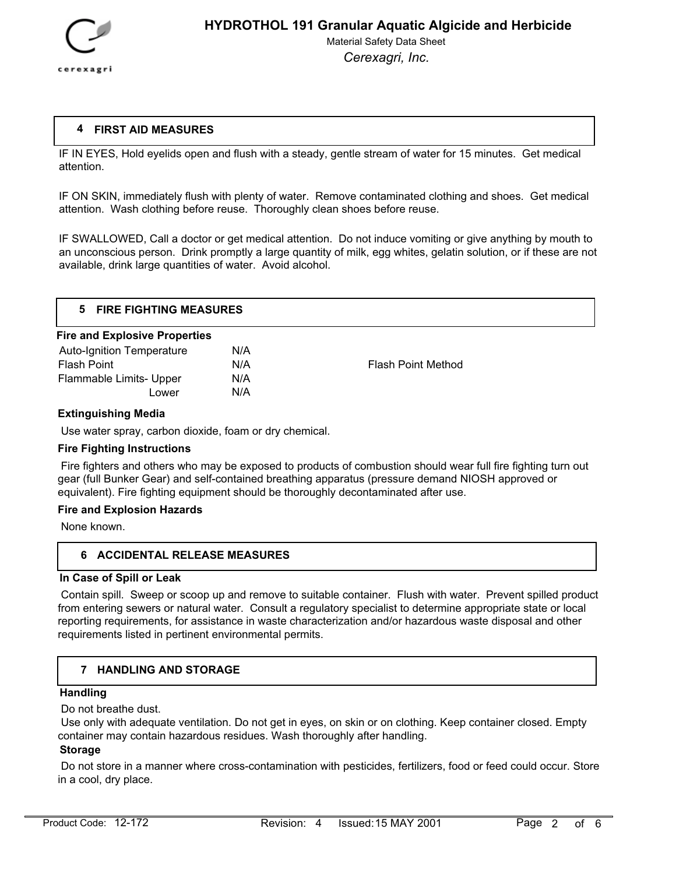

### **4 FIRST AID MEASURES**

IF IN EYES, Hold eyelids open and flush with a steady, gentle stream of water for 15 minutes. Get medical attention.

IF ON SKIN, immediately flush with plenty of water. Remove contaminated clothing and shoes. Get medical attention. Wash clothing before reuse. Thoroughly clean shoes before reuse.

IF SWALLOWED, Call a doctor or get medical attention. Do not induce vomiting or give anything by mouth to an unconscious person. Drink promptly a large quantity of milk, egg whites, gelatin solution, or if these are not available, drink large quantities of water. Avoid alcohol.

| <b>FIRE FIGHTING MEASURES</b>        |            |  |  |  |
|--------------------------------------|------------|--|--|--|
| <b>Fire and Explosive Properties</b> |            |  |  |  |
| Auto Ignition Tomporaturo            | <b>NIA</b> |  |  |  |

| <b>Auto-Ignition Temperature</b> | N/A |                           |
|----------------------------------|-----|---------------------------|
| Flash Point                      | N/A | <b>Flash Point Method</b> |
| Flammable Limits- Upper          | N/A |                           |
| Lower                            | N/A |                           |
|                                  |     |                           |

### **Extinguishing Media**

Use water spray, carbon dioxide, foam or dry chemical.

### **Fire Fighting Instructions**

 Fire fighters and others who may be exposed to products of combustion should wear full fire fighting turn out gear (full Bunker Gear) and self-contained breathing apparatus (pressure demand NIOSH approved or equivalent). Fire fighting equipment should be thoroughly decontaminated after use.

### **Fire and Explosion Hazards**

None known.

## **6 ACCIDENTAL RELEASE MEASURES**

#### **In Case of Spill or Leak**

 Contain spill. Sweep or scoop up and remove to suitable container. Flush with water. Prevent spilled product from entering sewers or natural water. Consult a regulatory specialist to determine appropriate state or local reporting requirements, for assistance in waste characterization and/or hazardous waste disposal and other requirements listed in pertinent environmental permits.

### **7 HANDLING AND STORAGE**

### **Handling**

Do not breathe dust.

 Use only with adequate ventilation. Do not get in eyes, on skin or on clothing. Keep container closed. Empty container may contain hazardous residues. Wash thoroughly after handling.

## **Storage**

 Do not store in a manner where cross-contamination with pesticides, fertilizers, food or feed could occur. Store in a cool, dry place.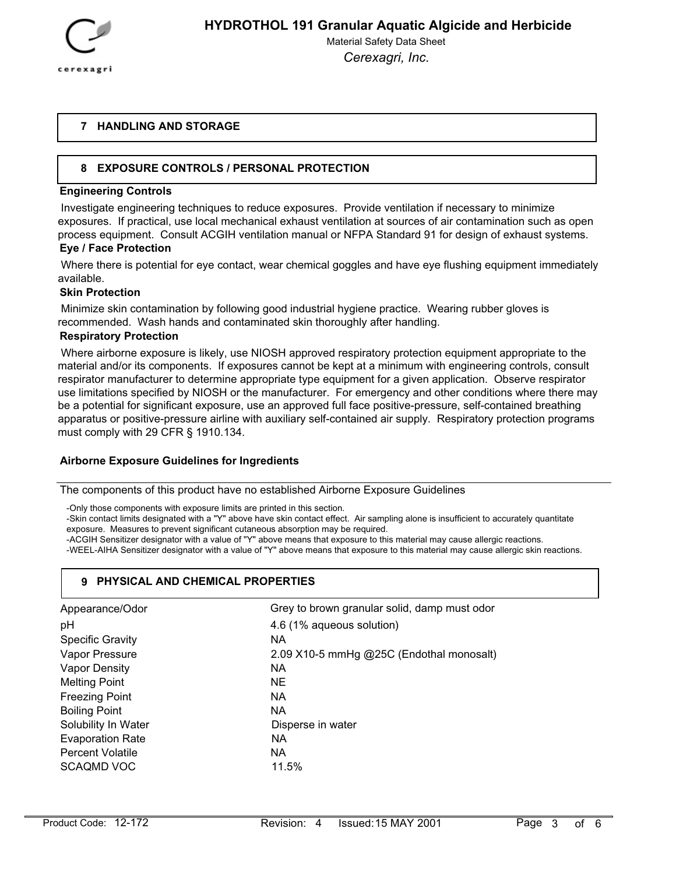

### **7 HANDLING AND STORAGE**

## **8 EXPOSURE CONTROLS / PERSONAL PROTECTION**

#### **Engineering Controls**

 Investigate engineering techniques to reduce exposures. Provide ventilation if necessary to minimize exposures. If practical, use local mechanical exhaust ventilation at sources of air contamination such as open process equipment. Consult ACGIH ventilation manual or NFPA Standard 91 for design of exhaust systems.

#### **Eye / Face Protection**

 Where there is potential for eye contact, wear chemical goggles and have eye flushing equipment immediately available.

#### **Skin Protection**

 Minimize skin contamination by following good industrial hygiene practice. Wearing rubber gloves is recommended. Wash hands and contaminated skin thoroughly after handling.

#### **Respiratory Protection**

 Where airborne exposure is likely, use NIOSH approved respiratory protection equipment appropriate to the material and/or its components. If exposures cannot be kept at a minimum with engineering controls, consult respirator manufacturer to determine appropriate type equipment for a given application. Observe respirator use limitations specified by NIOSH or the manufacturer. For emergency and other conditions where there may be a potential for significant exposure, use an approved full face positive-pressure, self-contained breathing apparatus or positive-pressure airline with auxiliary self-contained air supply. Respiratory protection programs must comply with 29 CFR § 1910.134.

#### **Airborne Exposure Guidelines for Ingredients**

The components of this product have no established Airborne Exposure Guidelines

-Only those components with exposure limits are printed in this section.

-Skin contact limits designated with a "Y" above have skin contact effect. Air sampling alone is insufficient to accurately quantitate exposure. Measures to prevent significant cutaneous absorption may be required.

-ACGIH Sensitizer designator with a value of "Y" above means that exposure to this material may cause allergic reactions.

-WEEL-AIHA Sensitizer designator with a value of "Y" above means that exposure to this material may cause allergic skin reactions.

### **9 PHYSICAL AND CHEMICAL PROPERTIES**

| Appearance/Odor         | Grey to brown granular solid, damp must odor |
|-------------------------|----------------------------------------------|
| pH                      | 4.6 (1% aqueous solution)                    |
| <b>Specific Gravity</b> | NА                                           |
| Vapor Pressure          | 2.09 X10-5 mmHg @25C (Endothal monosalt)     |
| Vapor Density           | <b>NA</b>                                    |
| <b>Melting Point</b>    | NE.                                          |
| <b>Freezing Point</b>   | NA.                                          |
| <b>Boiling Point</b>    | NA.                                          |
| Solubility In Water     | Disperse in water                            |
| <b>Evaporation Rate</b> | <b>NA</b>                                    |
| <b>Percent Volatile</b> | NA.                                          |
| <b>SCAQMD VOC</b>       | 11.5%                                        |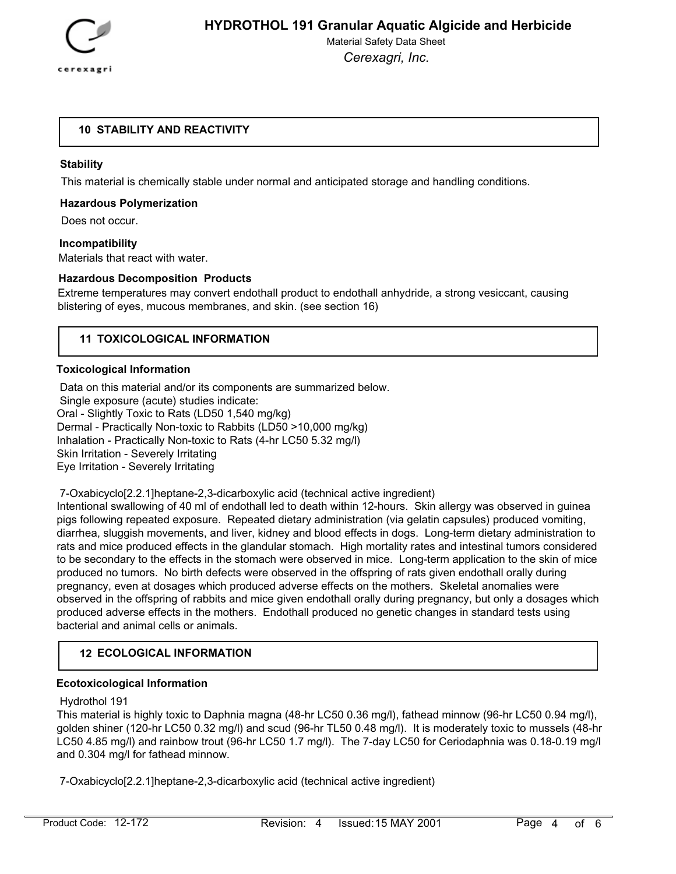

### **10 STABILITY AND REACTIVITY**

### **Stability**

This material is chemically stable under normal and anticipated storage and handling conditions.

#### **Hazardous Polymerization**

Does not occur.

#### **Incompatibility**

Materials that react with water.

#### **Hazardous Decomposition Products**

Extreme temperatures may convert endothall product to endothall anhydride, a strong vesiccant, causing blistering of eyes, mucous membranes, and skin. (see section 16)

## **11 TOXICOLOGICAL INFORMATION**

#### **Toxicological Information**

 Data on this material and/or its components are summarized below. Single exposure (acute) studies indicate: Oral - Slightly Toxic to Rats (LD50 1,540 mg/kg) Dermal - Practically Non-toxic to Rabbits (LD50 >10,000 mg/kg) Inhalation - Practically Non-toxic to Rats (4-hr LC50 5.32 mg/l) Skin Irritation - Severely Irritating Eye Irritation - Severely Irritating

7-Oxabicyclo[2.2.1]heptane-2,3-dicarboxylic acid (technical active ingredient)

Intentional swallowing of 40 ml of endothall led to death within 12-hours. Skin allergy was observed in guinea pigs following repeated exposure. Repeated dietary administration (via gelatin capsules) produced vomiting, diarrhea, sluggish movements, and liver, kidney and blood effects in dogs. Long-term dietary administration to rats and mice produced effects in the glandular stomach. High mortality rates and intestinal tumors considered to be secondary to the effects in the stomach were observed in mice. Long-term application to the skin of mice produced no tumors. No birth defects were observed in the offspring of rats given endothall orally during pregnancy, even at dosages which produced adverse effects on the mothers. Skeletal anomalies were observed in the offspring of rabbits and mice given endothall orally during pregnancy, but only a dosages which produced adverse effects in the mothers. Endothall produced no genetic changes in standard tests using bacterial and animal cells or animals.

### **12 ECOLOGICAL INFORMATION**

#### **Ecotoxicological Information**

#### Hydrothol 191

This material is highly toxic to Daphnia magna (48-hr LC50 0.36 mg/l), fathead minnow (96-hr LC50 0.94 mg/l), golden shiner (120-hr LC50 0.32 mg/l) and scud (96-hr TL50 0.48 mg/l). It is moderately toxic to mussels (48-hr LC50 4.85 mg/l) and rainbow trout (96-hr LC50 1.7 mg/l). The 7-day LC50 for Ceriodaphnia was 0.18-0.19 mg/l and 0.304 mg/l for fathead minnow.

7-Oxabicyclo[2.2.1]heptane-2,3-dicarboxylic acid (technical active ingredient)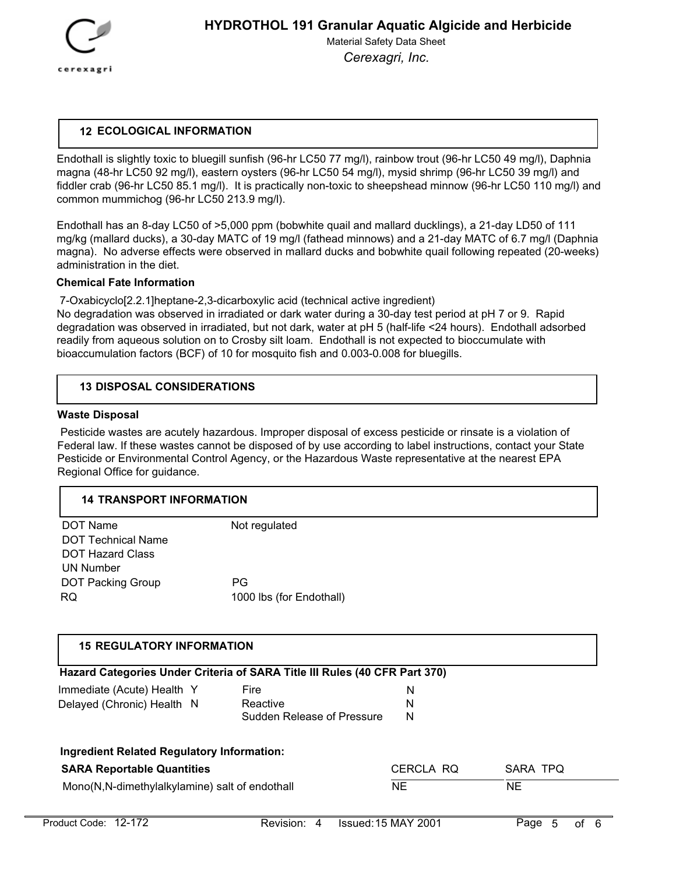

## **12 ECOLOGICAL INFORMATION**

Endothall is slightly toxic to bluegill sunfish (96-hr LC50 77 mg/l), rainbow trout (96-hr LC50 49 mg/l), Daphnia magna (48-hr LC50 92 mg/l), eastern oysters (96-hr LC50 54 mg/l), mysid shrimp (96-hr LC50 39 mg/l) and fiddler crab (96-hr LC50 85.1 mg/l). It is practically non-toxic to sheepshead minnow (96-hr LC50 110 mg/l) and common mummichog (96-hr LC50 213.9 mg/l).

Endothall has an 8-day LC50 of >5,000 ppm (bobwhite quail and mallard ducklings), a 21-day LD50 of 111 mg/kg (mallard ducks), a 30-day MATC of 19 mg/l (fathead minnows) and a 21-day MATC of 6.7 mg/l (Daphnia magna). No adverse effects were observed in mallard ducks and bobwhite quail following repeated (20-weeks) administration in the diet.

### **Chemical Fate Information**

 7-Oxabicyclo[2.2.1]heptane-2,3-dicarboxylic acid (technical active ingredient) No degradation was observed in irradiated or dark water during a 30-day test period at pH 7 or 9. Rapid degradation was observed in irradiated, but not dark, water at pH 5 (half-life <24 hours). Endothall adsorbed readily from aqueous solution on to Crosby silt loam. Endothall is not expected to bioccumulate with bioaccumulation factors (BCF) of 10 for mosquito fish and 0.003-0.008 for bluegills.

### **13 DISPOSAL CONSIDERATIONS**

#### **Waste Disposal**

 Pesticide wastes are acutely hazardous. Improper disposal of excess pesticide or rinsate is a violation of Federal law. If these wastes cannot be disposed of by use according to label instructions, contact your State Pesticide or Environmental Control Agency, or the Hazardous Waste representative at the nearest EPA Regional Office for guidance.

### **14 TRANSPORT INFORMATION**

| DOT Name                  | Not regulated            |
|---------------------------|--------------------------|
| <b>DOT Technical Name</b> |                          |
| <b>DOT Hazard Class</b>   |                          |
| UN Number                 |                          |
| <b>DOT Packing Group</b>  | <b>PG</b>                |
| RQ                        | 1000 lbs (for Endothall) |

## **15 REGULATORY INFORMATION**

| Hazard Categories Under Criteria of SARA Title III Rules (40 CFR Part 370)             |                            |           |          |
|----------------------------------------------------------------------------------------|----------------------------|-----------|----------|
| Immediate (Acute) Health Y                                                             | Fire                       | N         |          |
| Delayed (Chronic) Health N                                                             | Reactive                   | N         |          |
|                                                                                        | Sudden Release of Pressure | N         |          |
| <b>Ingredient Related Regulatory Information:</b><br><b>SARA Reportable Quantities</b> |                            | CERCLA RQ | SARA TPQ |
| Mono(N,N-dimethylalkylamine) salt of endothall                                         |                            | NE        | NE       |